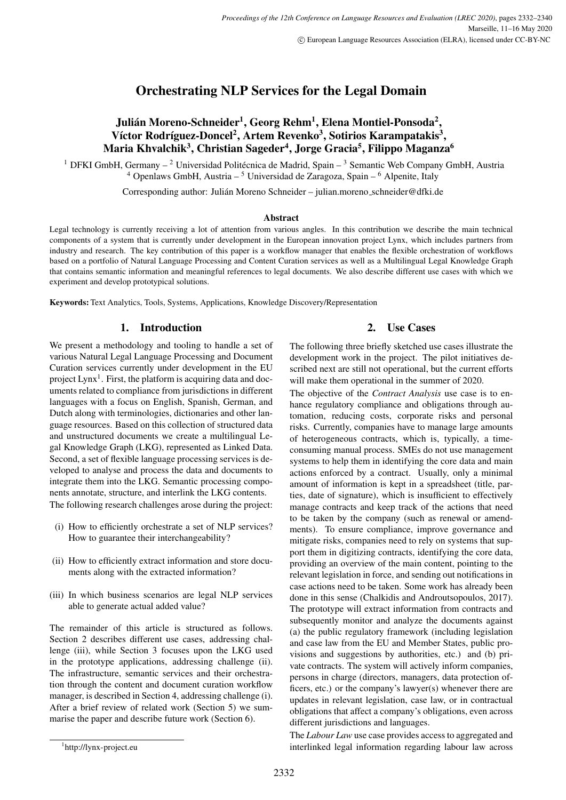# Orchestrating NLP Services for the Legal Domain

# Julián Moreno-Schneider<sup>1</sup>, Georg Rehm<sup>1</sup>, Elena Montiel-Ponsoda<sup>2</sup>, Víctor Rodríguez-Doncel<sup>2</sup>, Artem Revenko<sup>3</sup>, Sotirios Karampatakis<sup>3</sup>, Maria Khvalchik<sup>3</sup>, Christian Sageder<sup>4</sup>, Jorge Gracia<sup>5</sup>, Filippo Maganza<sup>6</sup>

<sup>1</sup> DFKI GmbH, Germany – <sup>2</sup> Universidad Politécnica de Madrid, Spain – <sup>3</sup> Semantic Web Company GmbH, Austria  $4$  Openlaws GmbH, Austria –  $5$  Universidad de Zaragoza, Spain –  $6$  Alpenite, Italy

Corresponding author: Julián Moreno Schneider – julian.moreno\_schneider@dfki.de

#### Abstract

Legal technology is currently receiving a lot of attention from various angles. In this contribution we describe the main technical components of a system that is currently under development in the European innovation project Lynx, which includes partners from industry and research. The key contribution of this paper is a workflow manager that enables the flexible orchestration of workflows based on a portfolio of Natural Language Processing and Content Curation services as well as a Multilingual Legal Knowledge Graph that contains semantic information and meaningful references to legal documents. We also describe different use cases with which we experiment and develop prototypical solutions.

Keywords: Text Analytics, Tools, Systems, Applications, Knowledge Discovery/Representation

# 1. Introduction

# 2. Use Cases

We present a methodology and tooling to handle a set of various Natural Legal Language Processing and Document Curation services currently under development in the EU project Lynx<sup>[1](#page-0-0)</sup>. First, the platform is acquiring data and documents related to compliance from jurisdictions in different languages with a focus on English, Spanish, German, and Dutch along with terminologies, dictionaries and other language resources. Based on this collection of structured data and unstructured documents we create a multilingual Legal Knowledge Graph (LKG), represented as Linked Data. Second, a set of flexible language processing services is developed to analyse and process the data and documents to integrate them into the LKG. Semantic processing components annotate, structure, and interlink the LKG contents. The following research challenges arose during the project:

- <span id="page-0-4"></span>(i) How to efficiently orchestrate a set of NLP services? How to guarantee their interchangeability?
- <span id="page-0-3"></span>(ii) How to efficiently extract information and store documents along with the extracted information?
- <span id="page-0-2"></span>(iii) In which business scenarios are legal NLP services able to generate actual added value?

The remainder of this article is structured as follows. Section [2](#page-0-1) describes different use cases, addressing challenge [\(iii\),](#page-0-2) while Section [3](#page-1-0) focuses upon the LKG used in the prototype applications, addressing challenge [\(ii\).](#page-0-3) The infrastructure, semantic services and their orchestration through the content and document curation workflow manager, is described in Section [4,](#page-1-1) addressing challenge [\(i\).](#page-0-4) After a brief review of related work (Section [5\)](#page-5-0) we summarise the paper and describe future work (Section [6\)](#page-6-0).

The following three briefly sketched use cases illustrate the development work in the project. The pilot initiatives described next are still not operational, but the current efforts will make them operational in the summer of 2020.

The objective of the *Contract Analysis* use case is to enhance regulatory compliance and obligations through automation, reducing costs, corporate risks and personal risks. Currently, companies have to manage large amounts of heterogeneous contracts, which is, typically, a timeconsuming manual process. SMEs do not use management systems to help them in identifying the core data and main actions enforced by a contract. Usually, only a minimal amount of information is kept in a spreadsheet (title, parties, date of signature), which is insufficient to effectively manage contracts and keep track of the actions that need to be taken by the company (such as renewal or amendments). To ensure compliance, improve governance and mitigate risks, companies need to rely on systems that support them in digitizing contracts, identifying the core data, providing an overview of the main content, pointing to the relevant legislation in force, and sending out notifications in case actions need to be taken. Some work has already been done in this sense [\(Chalkidis and Androutsopoulos, 2017\)](#page-6-1). The prototype will extract information from contracts and subsequently monitor and analyze the documents against (a) the public regulatory framework (including legislation and case law from the EU and Member States, public provisions and suggestions by authorities, etc.) and (b) private contracts. The system will actively inform companies, persons in charge (directors, managers, data protection officers, etc.) or the company's lawyer(s) whenever there are updates in relevant legislation, case law, or in contractual obligations that affect a company's obligations, even across different jurisdictions and languages.

The *Labour Law* use case provides access to aggregated and interlinked legal information regarding labour law across

<span id="page-0-1"></span><span id="page-0-0"></span><sup>1</sup> <http://lynx-project.eu>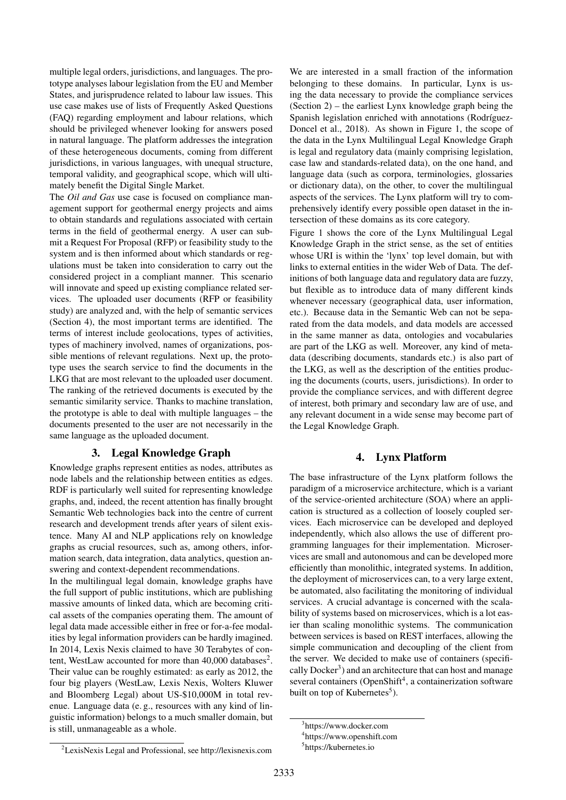multiple legal orders, jurisdictions, and languages. The prototype analyses labour legislation from the EU and Member States, and jurisprudence related to labour law issues. This use case makes use of lists of Frequently Asked Questions (FAQ) regarding employment and labour relations, which should be privileged whenever looking for answers posed in natural language. The platform addresses the integration of these heterogeneous documents, coming from different jurisdictions, in various languages, with unequal structure, temporal validity, and geographical scope, which will ultimately benefit the Digital Single Market.

The *Oil and Gas* use case is focused on compliance management support for geothermal energy projects and aims to obtain standards and regulations associated with certain terms in the field of geothermal energy. A user can submit a Request For Proposal (RFP) or feasibility study to the system and is then informed about which standards or regulations must be taken into consideration to carry out the considered project in a compliant manner. This scenario will innovate and speed up existing compliance related services. The uploaded user documents (RFP or feasibility study) are analyzed and, with the help of semantic services (Section [4\)](#page-1-1), the most important terms are identified. The terms of interest include geolocations, types of activities, types of machinery involved, names of organizations, possible mentions of relevant regulations. Next up, the prototype uses the search service to find the documents in the LKG that are most relevant to the uploaded user document. The ranking of the retrieved documents is executed by the semantic similarity service. Thanks to machine translation, the prototype is able to deal with multiple languages – the documents presented to the user are not necessarily in the same language as the uploaded document.

# 3. Legal Knowledge Graph

<span id="page-1-0"></span>Knowledge graphs represent entities as nodes, attributes as node labels and the relationship between entities as edges. RDF is particularly well suited for representing knowledge graphs, and, indeed, the recent attention has finally brought Semantic Web technologies back into the centre of current research and development trends after years of silent existence. Many AI and NLP applications rely on knowledge graphs as crucial resources, such as, among others, information search, data integration, data analytics, question answering and context-dependent recommendations.

In the multilingual legal domain, knowledge graphs have the full support of public institutions, which are publishing massive amounts of linked data, which are becoming critical assets of the companies operating them. The amount of legal data made accessible either in free or for-a-fee modalities by legal information providers can be hardly imagined. In 2014, Lexis Nexis claimed to have 30 Terabytes of con-tent, WestLaw accounted for more than 40,000 databases<sup>[2](#page-1-2)</sup>. Their value can be roughly estimated: as early as 2012, the four big players (WestLaw, Lexis Nexis, Wolters Kluwer and Bloomberg Legal) about US-\$10,000M in total revenue. Language data (e. g., resources with any kind of linguistic information) belongs to a much smaller domain, but is still, unmanageable as a whole.

We are interested in a small fraction of the information belonging to these domains. In particular, Lynx is using the data necessary to provide the compliance services (Section [2\)](#page-0-1) – the earliest Lynx knowledge graph being the Spanish legislation enriched with annotations (Rodríguez-[Doncel et al., 2018\)](#page-7-0). As shown in Figure [1,](#page-2-0) the scope of the data in the Lynx Multilingual Legal Knowledge Graph is legal and regulatory data (mainly comprising legislation, case law and standards-related data), on the one hand, and language data (such as corpora, terminologies, glossaries or dictionary data), on the other, to cover the multilingual aspects of the services. The Lynx platform will try to comprehensively identify every possible open dataset in the intersection of these domains as its core category.

Figure [1](#page-2-0) shows the core of the Lynx Multilingual Legal Knowledge Graph in the strict sense, as the set of entities whose URI is within the 'lynx' top level domain, but with links to external entities in the wider Web of Data. The definitions of both language data and regulatory data are fuzzy, but flexible as to introduce data of many different kinds whenever necessary (geographical data, user information, etc.). Because data in the Semantic Web can not be separated from the data models, and data models are accessed in the same manner as data, ontologies and vocabularies are part of the LKG as well. Moreover, any kind of metadata (describing documents, standards etc.) is also part of the LKG, as well as the description of the entities producing the documents (courts, users, jurisdictions). In order to provide the compliance services, and with different degree of interest, both primary and secondary law are of use, and any relevant document in a wide sense may become part of the Legal Knowledge Graph.

## 4. Lynx Platform

<span id="page-1-1"></span>The base infrastructure of the Lynx platform follows the paradigm of a microservice architecture, which is a variant of the service-oriented architecture (SOA) where an application is structured as a collection of loosely coupled services. Each microservice can be developed and deployed independently, which also allows the use of different programming languages for their implementation. Microservices are small and autonomous and can be developed more efficiently than monolithic, integrated systems. In addition, the deployment of microservices can, to a very large extent, be automated, also facilitating the monitoring of individual services. A crucial advantage is concerned with the scalability of systems based on microservices, which is a lot easier than scaling monolithic systems. The communication between services is based on REST interfaces, allowing the simple communication and decoupling of the client from the server. We decided to make use of containers (specifi-cally Docker<sup>[3](#page-1-3)</sup>) and an architecture that can host and manage several containers (OpenShift<sup>[4](#page-1-4)</sup>, a containerization software built on top of Kubernetes<sup>[5](#page-1-5)</sup>).

<span id="page-1-3"></span><sup>3</sup> <https://www.docker.com>

<span id="page-1-4"></span><sup>4</sup> <https://www.openshift.com>

<span id="page-1-5"></span><sup>5</sup> <https://kubernetes.io>

<span id="page-1-2"></span><sup>2</sup>LexisNexis Legal and Professional, see<http://lexisnexis.com>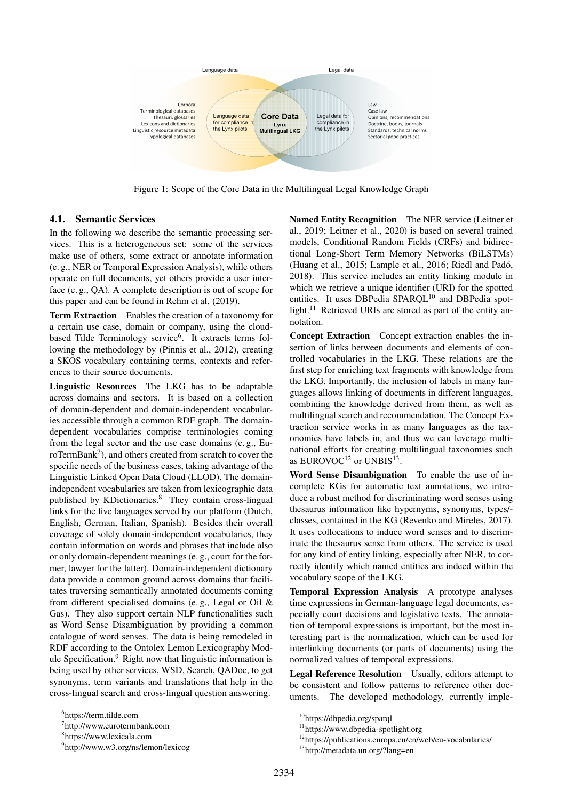

<span id="page-2-0"></span>Figure 1: Scope of the Core Data in the Multilingual Legal Knowledge Graph

## 4.1. Semantic Services

In the following we describe the semantic processing services. This is a heterogeneous set: some of the services make use of others, some extract or annotate information (e. g., NER or Temporal Expression Analysis), while others operate on full documents, yet others provide a user interface (e. g., QA). A complete description is out of scope for this paper and can be found in [Rehm et al. \(2019\)](#page-7-1).

Term Extraction Enables the creation of a taxonomy for a certain use case, domain or company, using the cloud-based Tilde Terminology service<sup>[6](#page-2-1)</sup>. It extracts terms following the methodology by [\(Pinnis et al., 2012\)](#page-7-2), creating a SKOS vocabulary containing terms, contexts and references to their source documents.

Linguistic Resources The LKG has to be adaptable across domains and sectors. It is based on a collection of domain-dependent and domain-independent vocabularies accessible through a common RDF graph. The domaindependent vocabularies comprise terminologies coming from the legal sector and the use case domains (e. g., Eu-roTermBank<sup>[7](#page-2-2)</sup>), and others created from scratch to cover the specific needs of the business cases, taking advantage of the Linguistic Linked Open Data Cloud (LLOD). The domainindependent vocabularies are taken from lexicographic data published by KDictionaries.<sup>[8](#page-2-3)</sup> They contain cross-lingual links for the five languages served by our platform (Dutch, English, German, Italian, Spanish). Besides their overall coverage of solely domain-independent vocabularies, they contain information on words and phrases that include also or only domain-dependent meanings (e. g., court for the former, lawyer for the latter). Domain-independent dictionary data provide a common ground across domains that facilitates traversing semantically annotated documents coming from different specialised domains (e. g., Legal or Oil & Gas). They also support certain NLP functionalities such as Word Sense Disambiguation by providing a common catalogue of word senses. The data is being remodeled in RDF according to the Ontolex Lemon Lexicography Mod-ule Specification.<sup>[9](#page-2-4)</sup> Right now that linguistic information is being used by other services, WSD, Search, QADoc, to get synonyms, term variants and translations that help in the cross-lingual search and cross-lingual question answering.

Named Entity Recognition The NER service [\(Leitner et](#page-7-3) [al., 2019;](#page-7-3) [Leitner et al., 2020\)](#page-7-4) is based on several trained models, Conditional Random Fields (CRFs) and bidirectional Long-Short Term Memory Networks (BiLSTMs) [\(Huang et al., 2015;](#page-7-5) [Lample et al., 2016;](#page-7-6) [Riedl and Pado,´](#page-7-7) [2018\)](#page-7-7). This service includes an entity linking module in which we retrieve a unique identifier (URI) for the spotted entities. It uses DBPedia SPARQL<sup>[10](#page-2-5)</sup> and DBPedia spot-light.<sup>[11](#page-2-6)</sup> Retrieved URIs are stored as part of the entity annotation.

Concept Extraction Concept extraction enables the insertion of links between documents and elements of controlled vocabularies in the LKG. These relations are the first step for enriching text fragments with knowledge from the LKG. Importantly, the inclusion of labels in many languages allows linking of documents in different languages, combining the knowledge derived from them, as well as multilingual search and recommendation. The Concept Extraction service works in as many languages as the taxonomies have labels in, and thus we can leverage multinational efforts for creating multilingual taxonomies such as  $EUROVOC^{12}$  $EUROVOC^{12}$  $EUROVOC^{12}$  or  $UNBIS^{13}$  $UNBIS^{13}$  $UNBIS^{13}$ .

Word Sense Disambiguation To enable the use of incomplete KGs for automatic text annotations, we introduce a robust method for discriminating word senses using thesaurus information like hypernyms, synonyms, types/ classes, contained in the KG [\(Revenko and Mireles, 2017\)](#page-7-8). It uses collocations to induce word senses and to discriminate the thesaurus sense from others. The service is used for any kind of entity linking, especially after NER, to correctly identify which named entities are indeed within the vocabulary scope of the LKG.

Temporal Expression Analysis A prototype analyses time expressions in German-language legal documents, especially court decisions and legislative texts. The annotation of temporal expressions is important, but the most interesting part is the normalization, which can be used for interlinking documents (or parts of documents) using the normalized values of temporal expressions.

Legal Reference Resolution Usually, editors attempt to be consistent and follow patterns to reference other documents. The developed methodology, currently imple-

<span id="page-2-1"></span><sup>6</sup> <https://term.tilde.com>

<span id="page-2-2"></span><sup>7</sup> <http://www.eurotermbank.com>

<span id="page-2-3"></span><sup>8</sup> <https://www.lexicala.com>

<span id="page-2-4"></span><sup>9</sup> <http://www.w3.org/ns/lemon/lexicog>

<span id="page-2-5"></span><sup>10</sup><https://dbpedia.org/sparql>

<span id="page-2-6"></span><sup>11</sup><https://www.dbpedia-spotlight.org>

<span id="page-2-7"></span><sup>12</sup><https://publications.europa.eu/en/web/eu-vocabularies/>

<span id="page-2-8"></span><sup>13</sup><http://metadata.un.org/?lang=en>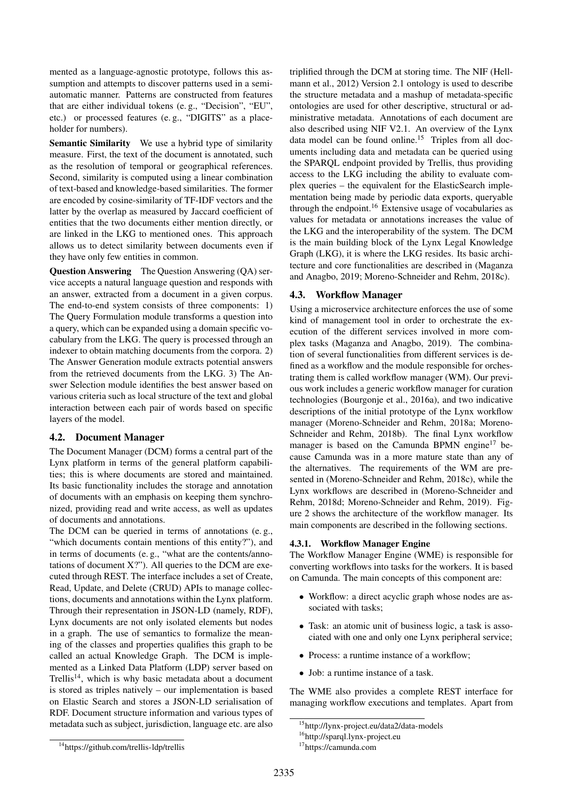mented as a language-agnostic prototype, follows this assumption and attempts to discover patterns used in a semiautomatic manner. Patterns are constructed from features that are either individual tokens (e. g., "Decision", "EU", etc.) or processed features (e. g., "DIGITS" as a placeholder for numbers).

Semantic Similarity We use a hybrid type of similarity measure. First, the text of the document is annotated, such as the resolution of temporal or geographical references. Second, similarity is computed using a linear combination of text-based and knowledge-based similarities. The former are encoded by cosine-similarity of TF-IDF vectors and the latter by the overlap as measured by Jaccard coefficient of entities that the two documents either mention directly, or are linked in the LKG to mentioned ones. This approach allows us to detect similarity between documents even if they have only few entities in common.

Question Answering The Question Answering (QA) service accepts a natural language question and responds with an answer, extracted from a document in a given corpus. The end-to-end system consists of three components: 1) The Query Formulation module transforms a question into a query, which can be expanded using a domain specific vocabulary from the LKG. The query is processed through an indexer to obtain matching documents from the corpora. 2) The Answer Generation module extracts potential answers from the retrieved documents from the LKG. 3) The Answer Selection module identifies the best answer based on various criteria such as local structure of the text and global interaction between each pair of words based on specific layers of the model.

## 4.2. Document Manager

The Document Manager (DCM) forms a central part of the Lynx platform in terms of the general platform capabilities; this is where documents are stored and maintained. Its basic functionality includes the storage and annotation of documents with an emphasis on keeping them synchronized, providing read and write access, as well as updates of documents and annotations.

The DCM can be queried in terms of annotations (e. g., "which documents contain mentions of this entity?"), and in terms of documents (e. g., "what are the contents/annotations of document X?"). All queries to the DCM are executed through REST. The interface includes a set of Create, Read, Update, and Delete (CRUD) APIs to manage collections, documents and annotations within the Lynx platform. Through their representation in JSON-LD (namely, RDF), Lynx documents are not only isolated elements but nodes in a graph. The use of semantics to formalize the meaning of the classes and properties qualifies this graph to be called an actual Knowledge Graph. The DCM is implemented as a Linked Data Platform (LDP) server based on Trellis<sup>[14](#page-3-0)</sup>, which is why basic metadata about a document is stored as triples natively – our implementation is based on Elastic Search and stores a JSON-LD serialisation of RDF. Document structure information and various types of metadata such as subject, jurisdiction, language etc. are also triplified through the DCM at storing time. The NIF [\(Hell](#page-6-2)[mann et al., 2012\)](#page-6-2) Version 2.1 ontology is used to describe the structure metadata and a mashup of metadata-specific ontologies are used for other descriptive, structural or administrative metadata. Annotations of each document are also described using NIF V2.1. An overview of the Lynx data model can be found online.[15](#page-3-1) Triples from all documents including data and metadata can be queried using the SPARQL endpoint provided by Trellis, thus providing access to the LKG including the ability to evaluate complex queries – the equivalent for the ElasticSearch implementation being made by periodic data exports, queryable through the endpoint.<sup>[16](#page-3-2)</sup> Extensive usage of vocabularies as values for metadata or annotations increases the value of the LKG and the interoperability of the system. The DCM is the main building block of the Lynx Legal Knowledge Graph (LKG), it is where the LKG resides. Its basic architecture and core functionalities are described in [\(Maganza](#page-7-9) [and Anagbo, 2019;](#page-7-9) [Moreno-Schneider and Rehm, 2018c\)](#page-7-10).

## 4.3. Workflow Manager

Using a microservice architecture enforces the use of some kind of management tool in order to orchestrate the execution of the different services involved in more complex tasks [\(Maganza and Anagbo, 2019\)](#page-7-9). The combination of several functionalities from different services is defined as a workflow and the module responsible for orchestrating them is called workflow manager (WM). Our previous work includes a generic workflow manager for curation technologies [\(Bourgonje et al., 2016a\)](#page-6-3), and two indicative descriptions of the initial prototype of the Lynx workflow manager [\(Moreno-Schneider and Rehm, 2018a;](#page-7-11) [Moreno-](#page-7-12)[Schneider and Rehm, 2018b\)](#page-7-12). The final Lynx workflow manager is based on the Camunda BPMN engine<sup>[17](#page-3-3)</sup> because Camunda was in a more mature state than any of the alternatives. The requirements of the WM are presented in [\(Moreno-Schneider and Rehm, 2018c\)](#page-7-10), while the Lynx workflows are described in [\(Moreno-Schneider and](#page-7-13) [Rehm, 2018d;](#page-7-13) [Moreno-Schneider and Rehm, 2019\)](#page-7-14). Figure [2](#page-4-0) shows the architecture of the workflow manager. Its main components are described in the following sections.

#### 4.3.1. Workflow Manager Engine

The Workflow Manager Engine (WME) is responsible for converting workflows into tasks for the workers. It is based on Camunda. The main concepts of this component are:

- Workflow: a direct acyclic graph whose nodes are associated with tasks;
- Task: an atomic unit of business logic, a task is associated with one and only one Lynx peripheral service;
- Process: a runtime instance of a workflow;
- Job: a runtime instance of a task.

The WME also provides a complete REST interface for managing workflow executions and templates. Apart from

<span id="page-3-1"></span><sup>15</sup><http://lynx-project.eu/data2/data-models>

<span id="page-3-2"></span><sup>16</sup><http://sparql.lynx-project.eu>

<span id="page-3-3"></span><sup>17</sup><https://camunda.com>

<span id="page-3-0"></span><sup>14</sup><https://github.com/trellis-ldp/trellis>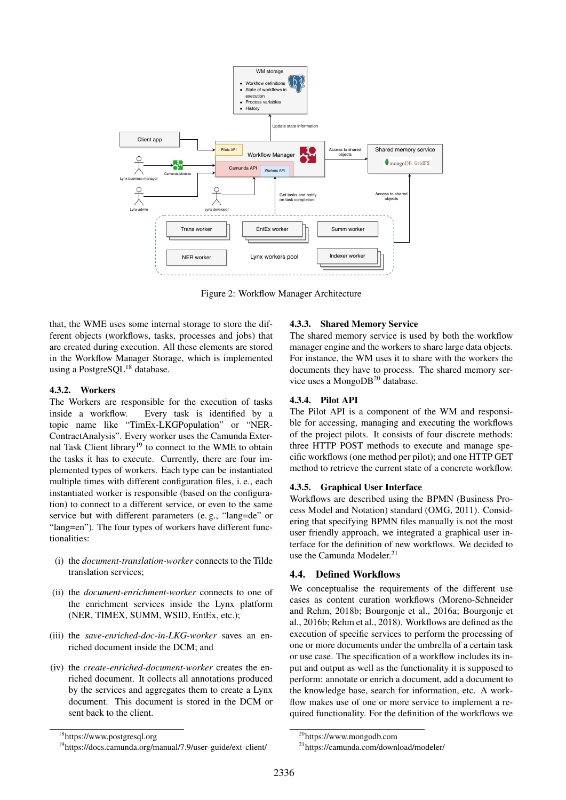

<span id="page-4-0"></span>Figure 2: Workflow Manager Architecture

that, the WME uses some internal storage to store the different objects (workflows, tasks, processes and jobs) that are created during execution. All these elements are stored in the Workflow Manager Storage, which is implemented using a PostgreSQL<sup>[18](#page-4-1)</sup> database.

## 4.3.2. Workers

The Workers are responsible for the execution of tasks inside a workflow. Every task is identified by a topic name like "TimEx-LKGPopulation" or "NER-ContractAnalysis". Every worker uses the Camunda Exter-nal Task Client library<sup>[19](#page-4-2)</sup> to connect to the WME to obtain the tasks it has to execute. Currently, there are four implemented types of workers. Each type can be instantiated multiple times with different configuration files, i. e., each instantiated worker is responsible (based on the configuration) to connect to a different service, or even to the same service but with different parameters (e. g., "lang=de" or "lang=en"). The four types of workers have different functionalities:

- (i) the *document-translation-worker* connects to the Tilde translation services;
- (ii) the *document-enrichment-worker* connects to one of the enrichment services inside the Lynx platform (NER, TIMEX, SUMM, WSID, EntEx, etc.);
- (iii) the *save-enriched-doc-in-LKG-worker* saves an enriched document inside the DCM; and
- (iv) the *create-enriched-document-worker* creates the enriched document. It collects all annotations produced by the services and aggregates them to create a Lynx document. This document is stored in the DCM or sent back to the client.

# 4.3.3. Shared Memory Service

The shared memory service is used by both the workflow manager engine and the workers to share large data objects. For instance, the WM uses it to share with the workers the documents they have to process. The shared memory service uses a MongoDB[20](#page-4-3) database.

## 4.3.4. Pilot API

The Pilot API is a component of the WM and responsible for accessing, managing and executing the workflows of the project pilots. It consists of four discrete methods: three HTTP POST methods to execute and manage specific workflows (one method per pilot); and one HTTP GET method to retrieve the current state of a concrete workflow.

#### 4.3.5. Graphical User Interface

Workflows are described using the BPMN (Business Process Model and Notation) standard [\(OMG, 2011\)](#page-7-15). Considering that specifying BPMN files manually is not the most user friendly approach, we integrated a graphical user interface for the definition of new workflows. We decided to use the Camunda Modeler.<sup>[21](#page-4-4)</sup>

## 4.4. Defined Workflows

**2336**<br> **2336** Indexer Worker Solon Summarger Architecture<br> **24.3.3.** Shared Memony so manager engine and the For instance, the WM documents they have tvice uses a MongoDB<br> **4.3.4.** Pilot API The Pilot API The Pilot API T We conceptualise the requirements of the different use cases as content curation workflows [\(Moreno-Schneider](#page-7-12) [and Rehm, 2018b;](#page-7-12) [Bourgonje et al., 2016a;](#page-6-3) [Bourgonje et](#page-6-4) [al., 2016b;](#page-6-4) [Rehm et al., 2018\)](#page-7-16). Workflows are defined as the execution of specific services to perform the processing of one or more documents under the umbrella of a certain task or use case. The specification of a workflow includes its input and output as well as the functionality it is supposed to perform: annotate or enrich a document, add a document to the knowledge base, search for information, etc. A workflow makes use of one or more service to implement a required functionality. For the definition of the workflows we

<span id="page-4-1"></span><sup>18</sup><https://www.postgresql.org>

<span id="page-4-2"></span><sup>19</sup><https://docs.camunda.org/manual/7.9/user-guide/ext-client/>

<span id="page-4-3"></span><sup>20</sup><https://www.mongodb.com>

<span id="page-4-4"></span><sup>21</sup><https://camunda.com/download/modeler/>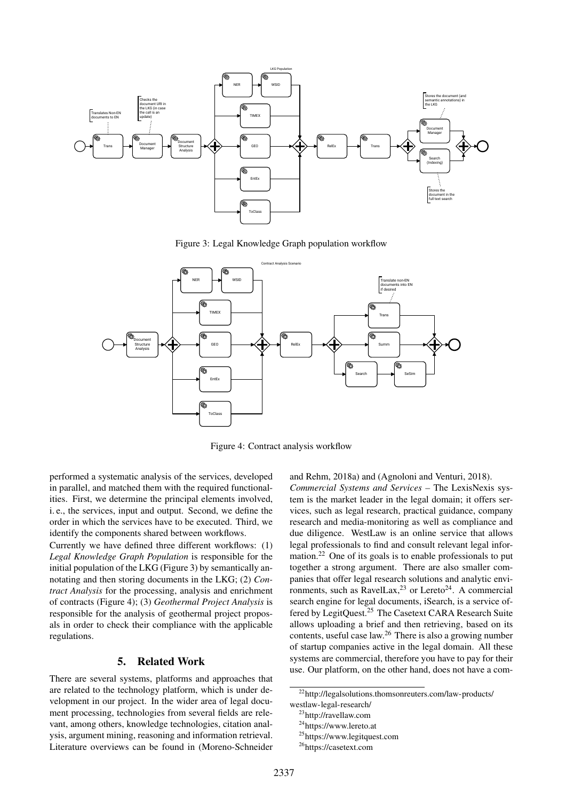

<span id="page-5-1"></span>Figure 3: Legal Knowledge Graph population workflow



<span id="page-5-2"></span>Figure 4: Contract analysis workflow

performed a systematic analysis of the services, developed in parallel, and matched them with the required functionalities. First, we determine the principal elements involved, i. e., the services, input and output. Second, we define the order in which the services have to be executed. Third, we identify the components shared between workflows.

Currently we have defined three different workflows: (1) *Legal Knowledge Graph Population* is responsible for the initial population of the LKG (Figure [3\)](#page-5-1) by semantically annotating and then storing documents in the LKG; (2) *Contract Analysis* for the processing, analysis and enrichment of contracts (Figure [4\)](#page-5-2); (3) *Geothermal Project Analysis* is responsible for the analysis of geothermal project proposals in order to check their compliance with the applicable regulations.

## 5. Related Work

<span id="page-5-0"></span>There are several systems, platforms and approaches that are related to the technology platform, which is under development in our project. In the wider area of legal document processing, technologies from several fields are relevant, among others, knowledge technologies, citation analysis, argument mining, reasoning and information retrieval. Literature overviews can be found in [\(Moreno-Schneider](#page-7-11) [and Rehm, 2018a\)](#page-7-11) and [\(Agnoloni and Venturi, 2018\)](#page-6-5).

*Commercial Systems and Services –* The LexisNexis system is the market leader in the legal domain; it offers services, such as legal research, practical guidance, company research and media-monitoring as well as compliance and due diligence. WestLaw is an online service that allows legal professionals to find and consult relevant legal infor-mation.<sup>[22](#page-5-3)</sup> One of its goals is to enable professionals to put together a strong argument. There are also smaller companies that offer legal research solutions and analytic environments, such as RavelLax,  $2<sup>3</sup>$  or Lereto<sup>[24](#page-5-5)</sup>. A commercial search engine for legal documents, iSearch, is a service offered by LegitQuest.[25](#page-5-6) The Casetext CARA Research Suite allows uploading a brief and then retrieving, based on its contents, useful case law.[26](#page-5-7) There is also a growing number of startup companies active in the legal domain. All these systems are commercial, therefore you have to pay for their use. Our platform, on the other hand, does not have a com-

<span id="page-5-3"></span><sup>22</sup>[http://legalsolutions.thomsonreuters.com/law-products/](http://legalsolutions.thomsonreuters.com/law-products/westlaw-legal-research/) [westlaw-legal-research/](http://legalsolutions.thomsonreuters.com/law-products/westlaw-legal-research/)

<span id="page-5-4"></span><sup>23</sup><http://ravellaw.com>

<span id="page-5-5"></span><sup>&</sup>lt;sup>24</sup><https://www.lereto.at>

<span id="page-5-6"></span><sup>25</sup><https://www.legitquest.com>

<span id="page-5-7"></span>

<sup>26</sup><https://casetext.com>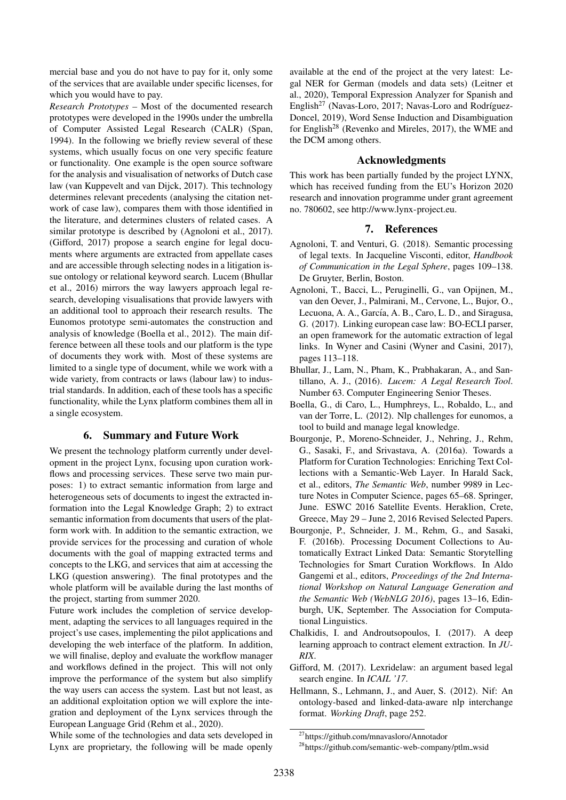mercial base and you do not have to pay for it, only some of the services that are available under specific licenses, for which you would have to pay.

*Research Prototypes –* Most of the documented research prototypes were developed in the 1990s under the umbrella of Computer Assisted Legal Research (CALR) [\(Span,](#page-7-17) [1994\)](#page-7-17). In the following we briefly review several of these systems, which usually focus on one very specific feature or functionality. One example is the open source software for the analysis and visualisation of networks of Dutch case law [\(van Kuppevelt and van Dijck, 2017\)](#page-8-0). This technology determines relevant precedents (analysing the citation network of case law), compares them with those identified in the literature, and determines clusters of related cases. A similar prototype is described by [\(Agnoloni et al., 2017\)](#page-6-6). [\(Gifford, 2017\)](#page-6-7) propose a search engine for legal documents where arguments are extracted from appellate cases and are accessible through selecting nodes in a litigation issue ontology or relational keyword search. Lucem [\(Bhullar](#page-6-8) [et al., 2016\)](#page-6-8) mirrors the way lawyers approach legal research, developing visualisations that provide lawyers with an additional tool to approach their research results. The Eunomos prototype semi-automates the construction and analysis of knowledge [\(Boella et al., 2012\)](#page-6-9). The main difference between all these tools and our platform is the type of documents they work with. Most of these systems are limited to a single type of document, while we work with a wide variety, from contracts or laws (labour law) to industrial standards. In addition, each of these tools has a specific functionality, while the Lynx platform combines them all in a single ecosystem.

## 6. Summary and Future Work

<span id="page-6-0"></span>We present the technology platform currently under development in the project Lynx, focusing upon curation workflows and processing services. These serve two main purposes: 1) to extract semantic information from large and heterogeneous sets of documents to ingest the extracted information into the Legal Knowledge Graph; 2) to extract semantic information from documents that users of the platform work with. In addition to the semantic extraction, we provide services for the processing and curation of whole documents with the goal of mapping extracted terms and concepts to the LKG, and services that aim at accessing the LKG (question answering). The final prototypes and the whole platform will be available during the last months of the project, starting from summer 2020.

Future work includes the completion of service development, adapting the services to all languages required in the project's use cases, implementing the pilot applications and developing the web interface of the platform. In addition, we will finalise, deploy and evaluate the workflow manager and workflows defined in the project. This will not only improve the performance of the system but also simplify the way users can access the system. Last but not least, as an additional exploitation option we will explore the integration and deployment of the Lynx services through the European Language Grid [\(Rehm et al., 2020\)](#page-7-18).

While some of the technologies and data sets developed in Lynx are proprietary, the following will be made openly available at the end of the project at the very latest: Legal NER for German (models and data sets) [\(Leitner et](#page-7-4) [al., 2020\)](#page-7-4), Temporal Expression Analyzer for Spanish and English<sup>[27](#page-6-10)</sup> [\(Navas-Loro, 2017;](#page-7-19) Navas-Loro and Rodríguez-[Doncel, 2019\)](#page-7-20), Word Sense Induction and Disambiguation for English<sup>[28](#page-6-11)</sup> [\(Revenko and Mireles, 2017\)](#page-7-8), the WME and the DCM among others.

#### Acknowledgments

This work has been partially funded by the project LYNX, which has received funding from the EU's Horizon 2020 research and innovation programme under grant agreement no. 780602, see [http://www.lynx-project.eu.](http://www.lynx-project.eu)

## 7. References

- <span id="page-6-5"></span>Agnoloni, T. and Venturi, G. (2018). Semantic processing of legal texts. In Jacqueline Visconti, editor, *Handbook of Communication in the Legal Sphere*, pages 109–138. De Gruyter, Berlin, Boston.
- <span id="page-6-6"></span>Agnoloni, T., Bacci, L., Peruginelli, G., van Opijnen, M., van den Oever, J., Palmirani, M., Cervone, L., Bujor, O., Lecuona, A. A., García, A. B., Caro, L. D., and Siragusa, G. (2017). Linking european case law: BO-ECLI parser, an open framework for the automatic extraction of legal links. In Wyner and Casini [\(Wyner and Casini, 2017\)](#page-8-1), pages 113–118.
- <span id="page-6-8"></span>Bhullar, J., Lam, N., Pham, K., Prabhakaran, A., and Santillano, A. J., (2016). *Lucem: A Legal Research Tool*. Number 63. Computer Engineering Senior Theses.
- <span id="page-6-9"></span>Boella, G., di Caro, L., Humphreys, L., Robaldo, L., and van der Torre, L. (2012). Nlp challenges for eunomos, a tool to build and manage legal knowledge.
- <span id="page-6-3"></span>Bourgonje, P., Moreno-Schneider, J., Nehring, J., Rehm, G., Sasaki, F., and Srivastava, A. (2016a). Towards a Platform for Curation Technologies: Enriching Text Collections with a Semantic-Web Layer. In Harald Sack, et al., editors, *The Semantic Web*, number 9989 in Lecture Notes in Computer Science, pages 65–68. Springer, June. ESWC 2016 Satellite Events. Heraklion, Crete, Greece, May 29 – June 2, 2016 Revised Selected Papers.
- <span id="page-6-4"></span>Bourgonje, P., Schneider, J. M., Rehm, G., and Sasaki, F. (2016b). Processing Document Collections to Automatically Extract Linked Data: Semantic Storytelling Technologies for Smart Curation Workflows. In Aldo Gangemi et al., editors, *Proceedings of the 2nd International Workshop on Natural Language Generation and the Semantic Web (WebNLG 2016)*, pages 13–16, Edinburgh, UK, September. The Association for Computational Linguistics.
- <span id="page-6-1"></span>Chalkidis, I. and Androutsopoulos, I. (2017). A deep learning approach to contract element extraction. In *JU-RIX*.
- <span id="page-6-7"></span>Gifford, M. (2017). Lexridelaw: an argument based legal search engine. In *ICAIL '17*.
- <span id="page-6-2"></span>Hellmann, S., Lehmann, J., and Auer, S. (2012). Nif: An ontology-based and linked-data-aware nlp interchange format. *Working Draft*, page 252.

<span id="page-6-10"></span><sup>27</sup><https://github.com/mnavasloro/Annotador>

<span id="page-6-11"></span><sup>&</sup>lt;sup>28</sup>[https://github.com/semantic-web-company/ptlm](https://github.com/semantic-web-company/ptlm_wsid)\_wsid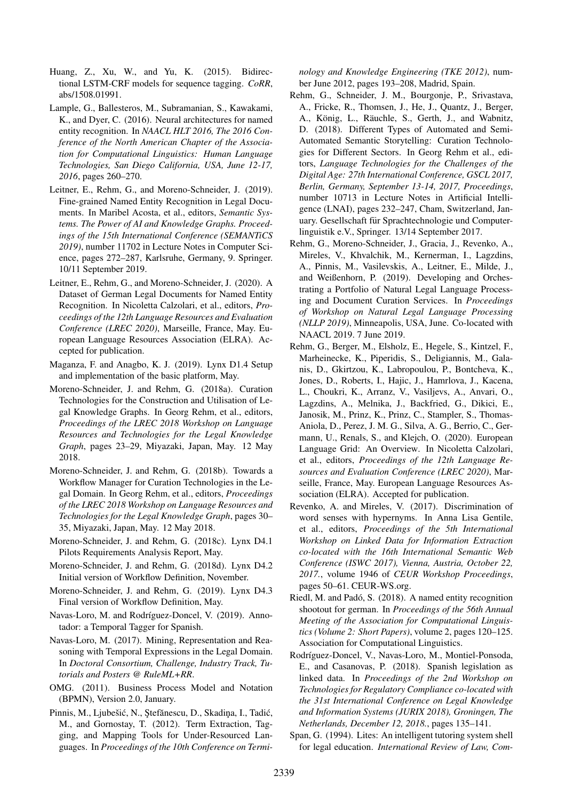- <span id="page-7-5"></span>Huang, Z., Xu, W., and Yu, K. (2015). Bidirectional LSTM-CRF models for sequence tagging. *CoRR*, abs/1508.01991.
- <span id="page-7-6"></span>Lample, G., Ballesteros, M., Subramanian, S., Kawakami, K., and Dyer, C. (2016). Neural architectures for named entity recognition. In *NAACL HLT 2016, The 2016 Conference of the North American Chapter of the Association for Computational Linguistics: Human Language Technologies, San Diego California, USA, June 12-17, 2016*, pages 260–270.
- <span id="page-7-3"></span>Leitner, E., Rehm, G., and Moreno-Schneider, J. (2019). Fine-grained Named Entity Recognition in Legal Documents. In Maribel Acosta, et al., editors, *Semantic Systems. The Power of AI and Knowledge Graphs. Proceedings of the 15th International Conference (SEMANTiCS 2019)*, number 11702 in Lecture Notes in Computer Science, pages 272–287, Karlsruhe, Germany, 9. Springer. 10/11 September 2019.
- <span id="page-7-4"></span>Leitner, E., Rehm, G., and Moreno-Schneider, J. (2020). A Dataset of German Legal Documents for Named Entity Recognition. In Nicoletta Calzolari, et al., editors, *Proceedings of the 12th Language Resources and Evaluation Conference (LREC 2020)*, Marseille, France, May. European Language Resources Association (ELRA). Accepted for publication.
- <span id="page-7-9"></span>Maganza, F. and Anagbo, K. J. (2019). Lynx D1.4 Setup and implementation of the basic platform, May.
- <span id="page-7-11"></span>Moreno-Schneider, J. and Rehm, G. (2018a). Curation Technologies for the Construction and Utilisation of Legal Knowledge Graphs. In Georg Rehm, et al., editors, *Proceedings of the LREC 2018 Workshop on Language Resources and Technologies for the Legal Knowledge Graph*, pages 23–29, Miyazaki, Japan, May. 12 May 2018.
- <span id="page-7-12"></span>Moreno-Schneider, J. and Rehm, G. (2018b). Towards a Workflow Manager for Curation Technologies in the Legal Domain. In Georg Rehm, et al., editors, *Proceedings of the LREC 2018 Workshop on Language Resources and Technologies for the Legal Knowledge Graph*, pages 30– 35, Miyazaki, Japan, May. 12 May 2018.
- <span id="page-7-10"></span>Moreno-Schneider, J. and Rehm, G. (2018c). Lynx D4.1 Pilots Requirements Analysis Report, May.
- <span id="page-7-13"></span>Moreno-Schneider, J. and Rehm, G. (2018d). Lynx D4.2 Initial version of Workflow Definition, November.
- <span id="page-7-14"></span>Moreno-Schneider, J. and Rehm, G. (2019). Lynx D4.3 Final version of Workflow Definition, May.
- <span id="page-7-20"></span>Navas-Loro, M. and Rodríguez-Doncel, V. (2019). Annotador: a Temporal Tagger for Spanish.
- <span id="page-7-19"></span>Navas-Loro, M. (2017). Mining, Representation and Reasoning with Temporal Expressions in the Legal Domain. In *Doctoral Consortium, Challenge, Industry Track, Tutorials and Posters @ RuleML+RR*.
- <span id="page-7-15"></span>OMG. (2011). Business Process Model and Notation (BPMN), Version 2.0, January.
- <span id="page-7-2"></span>Pinnis, M., Ljubešić, N., Ştefănescu, D., Skadina, I., Tadić, M., and Gornostay, T. (2012). Term Extraction, Tagging, and Mapping Tools for Under-Resourced Languages. In *Proceedings of the 10th Conference on Termi-*

*nology and Knowledge Engineering (TKE 2012)*, number June 2012, pages 193–208, Madrid, Spain.

- <span id="page-7-16"></span>Rehm, G., Schneider, J. M., Bourgonje, P., Srivastava, A., Fricke, R., Thomsen, J., He, J., Quantz, J., Berger, A., König, L., Räuchle, S., Gerth, J., and Wabnitz, D. (2018). Different Types of Automated and Semi-Automated Semantic Storytelling: Curation Technologies for Different Sectors. In Georg Rehm et al., editors, *Language Technologies for the Challenges of the Digital Age: 27th International Conference, GSCL 2017, Berlin, Germany, September 13-14, 2017, Proceedings*, number 10713 in Lecture Notes in Artificial Intelligence (LNAI), pages 232–247, Cham, Switzerland, January. Gesellschaft für Sprachtechnologie und Computerlinguistik e.V., Springer. 13/14 September 2017.
- <span id="page-7-1"></span>Rehm, G., Moreno-Schneider, J., Gracia, J., Revenko, A., Mireles, V., Khvalchik, M., Kernerman, I., Lagzdins, A., Pinnis, M., Vasilevskis, A., Leitner, E., Milde, J., and Weißenhorn, P. (2019). Developing and Orchestrating a Portfolio of Natural Legal Language Processing and Document Curation Services. In *Proceedings of Workshop on Natural Legal Language Processing (NLLP 2019)*, Minneapolis, USA, June. Co-located with NAACL 2019. 7 June 2019.
- <span id="page-7-18"></span>Rehm, G., Berger, M., Elsholz, E., Hegele, S., Kintzel, F., Marheinecke, K., Piperidis, S., Deligiannis, M., Galanis, D., Gkirtzou, K., Labropoulou, P., Bontcheva, K., Jones, D., Roberts, I., Hajic, J., Hamrlova, J., Kacena, L., Choukri, K., Arranz, V., Vasiljevs, A., Anvari, O., Lagzdins, A., Melnika, J., Backfried, G., Dikici, E., Janosik, M., Prinz, K., Prinz, C., Stampler, S., Thomas-Aniola, D., Perez, J. M. G., Silva, A. G., Berrio, C., Germann, U., Renals, S., and Klejch, O. (2020). European Language Grid: An Overview. In Nicoletta Calzolari, et al., editors, *Proceedings of the 12th Language Resources and Evaluation Conference (LREC 2020)*, Marseille, France, May. European Language Resources Association (ELRA). Accepted for publication.
- <span id="page-7-8"></span>Revenko, A. and Mireles, V. (2017). Discrimination of word senses with hypernyms. In Anna Lisa Gentile, et al., editors, *Proceedings of the 5th International Workshop on Linked Data for Information Extraction co-located with the 16th International Semantic Web Conference (ISWC 2017), Vienna, Austria, October 22, 2017.*, volume 1946 of *CEUR Workshop Proceedings*, pages 50–61. CEUR-WS.org.
- <span id="page-7-7"></span>Riedl, M. and Pado, S. (2018). A named entity recognition ´ shootout for german. In *Proceedings of the 56th Annual Meeting of the Association for Computational Linguistics (Volume 2: Short Papers)*, volume 2, pages 120–125. Association for Computational Linguistics.
- <span id="page-7-0"></span>Rodríguez-Doncel, V., Navas-Loro, M., Montiel-Ponsoda, E., and Casanovas, P. (2018). Spanish legislation as linked data. In *Proceedings of the 2nd Workshop on Technologies for Regulatory Compliance co-located with the 31st International Conference on Legal Knowledge and Information Systems (JURIX 2018), Groningen, The Netherlands, December 12, 2018.*, pages 135–141.
- <span id="page-7-17"></span>Span, G. (1994). Lites: An intelligent tutoring system shell for legal education. *International Review of Law, Com-*